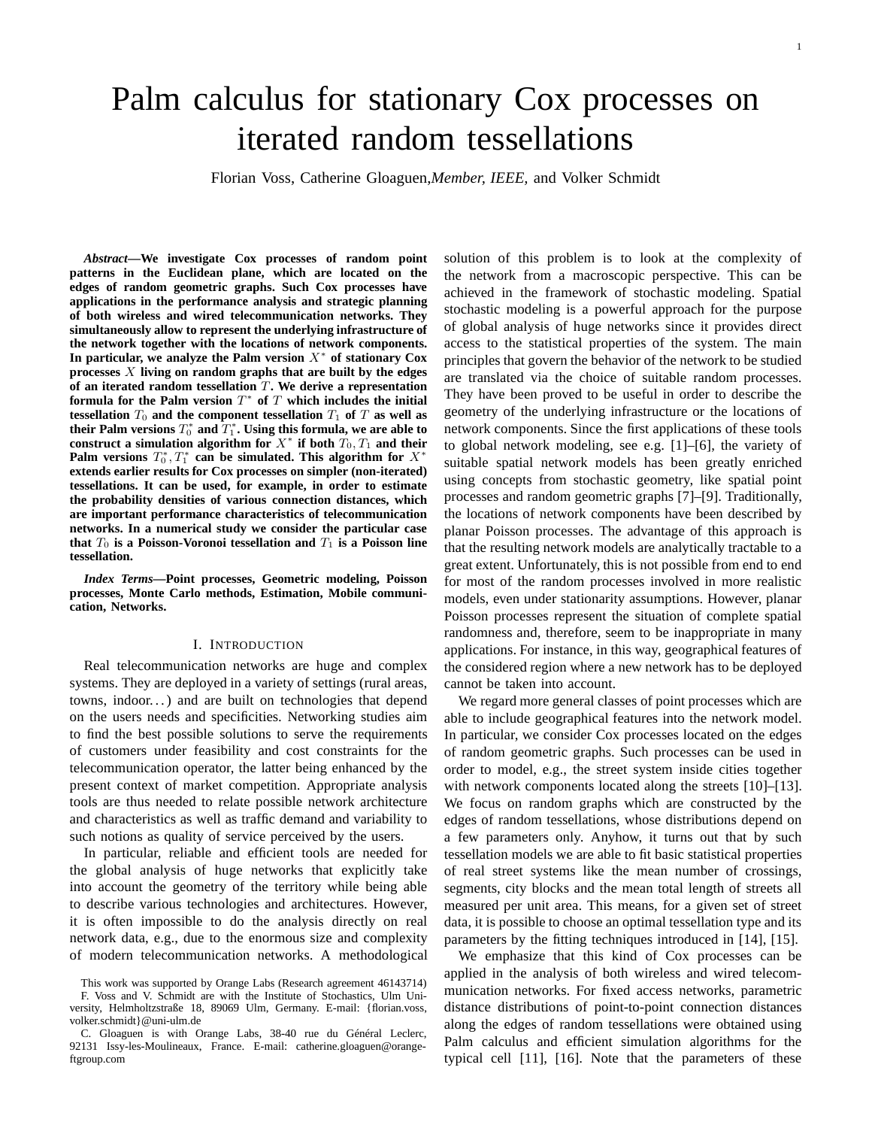# Palm calculus for stationary Cox processes on iterated random tessellations

Florian Voss, Catherine Gloaguen,*Member, IEEE,* and Volker Schmidt

*Abstract***—We investigate Cox processes of random point patterns in the Euclidean plane, which are located on the edges of random geometric graphs. Such Cox processes have applications in the performance analysis and strategic planning of both wireless and wired telecommunication networks. They simultaneously allow to represent the underlying infrastructure of the network together with the locations of network components. In particular, we analyze the Palm version** X ∗ **of stationary Cox processes** X **living on random graphs that are built by the edges of an iterated random tessellation** T**. We derive a representation**  $f$  **formula** for the Palm version  $T^*$  of  $T$  which includes the initial tessellation  $T_0$  and the component tessellation  $T_1$  of  $T$  as well as **their Palm versions**  $T_0^*$  and  $T_1^*$ . Using this formula, we are able to construct a simulation algorithm for  $X^*$  if both  $T_0, T_1$  and their Palm versions  $T_0^*$ ,  $T_1^*$  can be simulated. This algorithm for  $X^*$ **extends earlier results for Cox processes on simpler (non-iterated) tessellations. It can be used, for example, in order to estimate the probability densities of various connection distances, which are important performance characteristics of telecommunication networks. In a numerical study we consider the particular case** that  $T_0$  is a Poisson-Voronoi tessellation and  $T_1$  is a Poisson line **tessellation.**

*Index Terms***—Point processes, Geometric modeling, Poisson processes, Monte Carlo methods, Estimation, Mobile communication, Networks.**

## I. INTRODUCTION

Real telecommunication networks are huge and complex systems. They are deployed in a variety of settings (rural areas, towns, indoor. . . ) and are built on technologies that depend on the users needs and specificities. Networking studies aim to find the best possible solutions to serve the requirements of customers under feasibility and cost constraints for the telecommunication operator, the latter being enhanced by the present context of market competition. Appropriate analysis tools are thus needed to relate possible network architecture and characteristics as well as traffic demand and variability to such notions as quality of service perceived by the users.

In particular, reliable and efficient tools are needed for the global analysis of huge networks that explicitly take into account the geometry of the territory while being able to describe various technologies and architectures. However, it is often impossible to do the analysis directly on real network data, e.g., due to the enormous size and complexity of modern telecommunication networks. A methodological

solution of this problem is to look at the complexity of the network from a macroscopic perspective. This can be achieved in the framework of stochastic modeling. Spatial stochastic modeling is a powerful approach for the purpose of global analysis of huge networks since it provides direct access to the statistical properties of the system. The main principles that govern the behavior of the network to be studied are translated via the choice of suitable random processes. They have been proved to be useful in order to describe the geometry of the underlying infrastructure or the locations of network components. Since the first applications of these tools to global network modeling, see e.g. [1]–[6], the variety of suitable spatial network models has been greatly enriched using concepts from stochastic geometry, like spatial point processes and random geometric graphs [7]–[9]. Traditionally, the locations of network components have been described by planar Poisson processes. The advantage of this approach is that the resulting network models are analytically tractable to a great extent. Unfortunately, this is not possible from end to end for most of the random processes involved in more realistic models, even under stationarity assumptions. However, planar Poisson processes represent the situation of complete spatial randomness and, therefore, seem to be inappropriate in many applications. For instance, in this way, geographical features of the considered region where a new network has to be deployed cannot be taken into account.

We regard more general classes of point processes which are able to include geographical features into the network model. In particular, we consider Cox processes located on the edges of random geometric graphs. Such processes can be used in order to model, e.g., the street system inside cities together with network components located along the streets [10]–[13]. We focus on random graphs which are constructed by the edges of random tessellations, whose distributions depend on a few parameters only. Anyhow, it turns out that by such tessellation models we are able to fit basic statistical properties of real street systems like the mean number of crossings, segments, city blocks and the mean total length of streets all measured per unit area. This means, for a given set of street data, it is possible to choose an optimal tessellation type and its parameters by the fitting techniques introduced in [14], [15].

We emphasize that this kind of Cox processes can be applied in the analysis of both wireless and wired telecommunication networks. For fixed access networks, parametric distance distributions of point-to-point connection distances along the edges of random tessellations were obtained using Palm calculus and efficient simulation algorithms for the typical cell [11], [16]. Note that the parameters of these

This work was supported by Orange Labs (Research agreement 46143714) F. Voss and V. Schmidt are with the Institute of Stochastics, Ulm University, Helmholtzstraße 18, 89069 Ulm, Germany. E-mail: {florian.voss, volker.schmidt}@uni-ulm.de

C. Gloaguen is with Orange Labs, 38-40 rue du Général Leclerc, 92131 Issy-les-Moulineaux, France. E-mail: catherine.gloaguen@orangeftgroup.com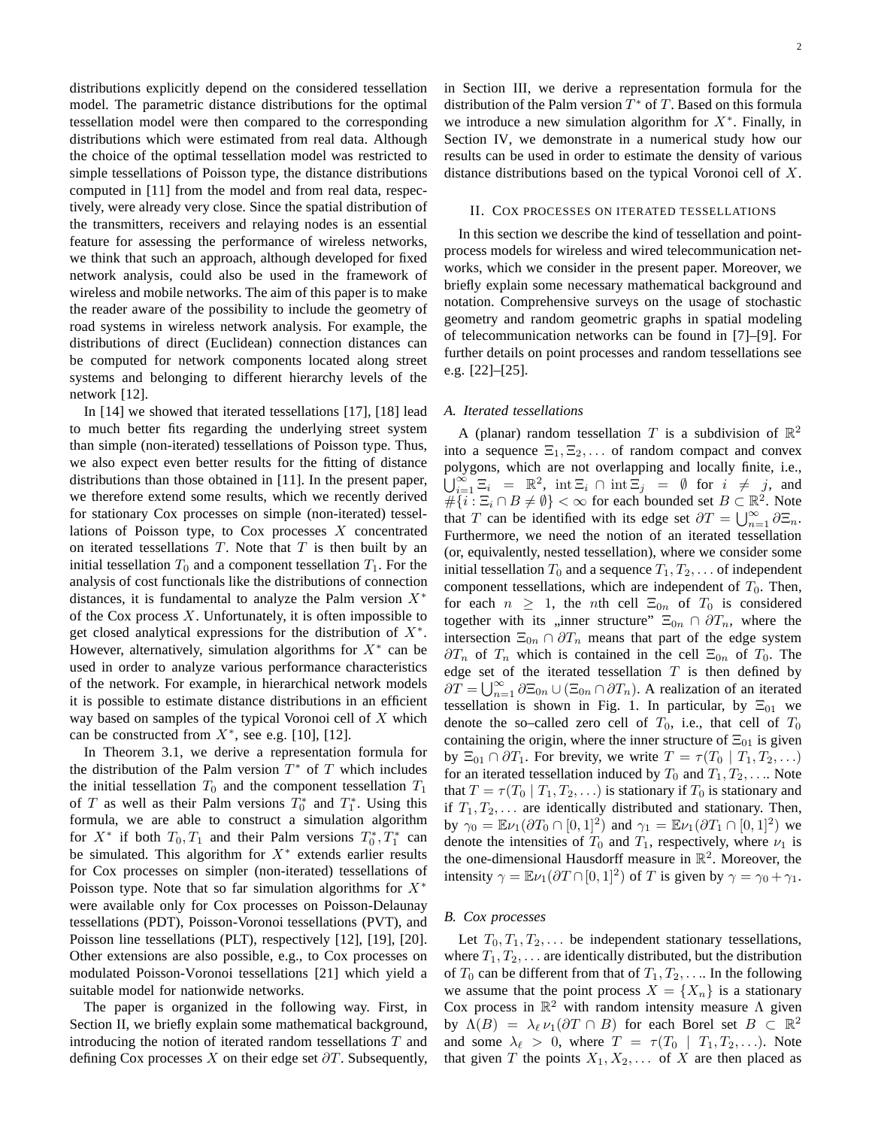distributions explicitly depend on the considered tessellation model. The parametric distance distributions for the optimal tessellation model were then compared to the corresponding distributions which were estimated from real data. Although the choice of the optimal tessellation model was restricted to simple tessellations of Poisson type, the distance distributions computed in [11] from the model and from real data, respectively, were already very close. Since the spatial distribution of the transmitters, receivers and relaying nodes is an essential feature for assessing the performance of wireless networks, we think that such an approach, although developed for fixed network analysis, could also be used in the framework of wireless and mobile networks. The aim of this paper is to make the reader aware of the possibility to include the geometry of road systems in wireless network analysis. For example, the distributions of direct (Euclidean) connection distances can be computed for network components located along street systems and belonging to different hierarchy levels of the network [12].

In [14] we showed that iterated tessellations [17], [18] lead to much better fits regarding the underlying street system than simple (non-iterated) tessellations of Poisson type. Thus, we also expect even better results for the fitting of distance distributions than those obtained in [11]. In the present paper, we therefore extend some results, which we recently derived for stationary Cox processes on simple (non-iterated) tessellations of Poisson type, to  $Cox$  processes  $X$  concentrated on iterated tessellations  $T$ . Note that  $T$  is then built by an initial tessellation  $T_0$  and a component tessellation  $T_1$ . For the analysis of cost functionals like the distributions of connection distances, it is fundamental to analyze the Palm version  $X^*$ of the Cox process  $X$ . Unfortunately, it is often impossible to get closed analytical expressions for the distribution of  $X^*$ . However, alternatively, simulation algorithms for  $X^*$  can be used in order to analyze various performance characteristics of the network. For example, in hierarchical network models it is possible to estimate distance distributions in an efficient way based on samples of the typical Voronoi cell of X which can be constructed from  $X^*$ , see e.g. [10], [12].

In Theorem 3.1, we derive a representation formula for the distribution of the Palm version  $T^*$  of T which includes the initial tessellation  $T_0$  and the component tessellation  $T_1$ of T as well as their Palm versions  $T_0^*$  and  $T_1^*$ . Using this formula, we are able to construct a simulation algorithm for  $X^*$  if both  $T_0, T_1$  and their Palm versions  $T_0^*, T_1^*$  can be simulated. This algorithm for  $X^*$  extends earlier results for Cox processes on simpler (non-iterated) tessellations of Poisson type. Note that so far simulation algorithms for  $X^*$ were available only for Cox processes on Poisson-Delaunay tessellations (PDT), Poisson-Voronoi tessellations (PVT), and Poisson line tessellations (PLT), respectively [12], [19], [20]. Other extensions are also possible, e.g., to Cox processes on modulated Poisson-Voronoi tessellations [21] which yield a suitable model for nationwide networks.

The paper is organized in the following way. First, in Section II, we briefly explain some mathematical background, introducing the notion of iterated random tessellations T and defining Cox processes X on their edge set  $\partial T$ . Subsequently, in Section III, we derive a representation formula for the distribution of the Palm version  $T^*$  of T. Based on this formula we introduce a new simulation algorithm for  $X^*$ . Finally, in Section IV, we demonstrate in a numerical study how our results can be used in order to estimate the density of various distance distributions based on the typical Voronoi cell of X.

# II. COX PROCESSES ON ITERATED TESSELLATIONS

In this section we describe the kind of tessellation and pointprocess models for wireless and wired telecommunication networks, which we consider in the present paper. Moreover, we briefly explain some necessary mathematical background and notation. Comprehensive surveys on the usage of stochastic geometry and random geometric graphs in spatial modeling of telecommunication networks can be found in [7]–[9]. For further details on point processes and random tessellations see e.g. [22]–[25].

## *A. Iterated tessellations*

A (planar) random tessellation T is a subdivision of  $\mathbb{R}^2$ into a sequence  $\Xi_1, \Xi_2, \ldots$  of random compact and convex polygons, which are not overlapping and locally finite, i.e.,  $\widehat{\bigcup_{i=1}^{\infty}} \Xi_i = \mathbb{R}^2$ , int  $\Xi_i \cap \text{int } \Xi_j = \emptyset$  for  $i \neq j$ , and  $\#\{i : \Xi_i \cap B \neq \emptyset\} < \infty$  for each bounded set  $B \subset \mathbb{R}^2$ . Note that T can be identified with its edge set  $\partial T = \bigcup_{n=1}^{\infty} \partial \Xi_n$ . Furthermore, we need the notion of an iterated tessellation (or, equivalently, nested tessellation), where we consider some initial tessellation  $T_0$  and a sequence  $T_1, T_2, \ldots$  of independent component tessellations, which are independent of  $T_0$ . Then, for each  $n \geq 1$ , the *n*th cell  $\Xi_{0n}$  of  $T_0$  is considered together with its "inner structure"  $\Xi_{0n} \cap \partial T_n$ , where the intersection  $\Xi_{0n} \cap \partial T_n$  means that part of the edge system  $\partial T_n$  of  $T_n$  which is contained in the cell  $\Xi_{0n}$  of  $T_0$ . The edge set of the iterated tessellation  $T$  is then defined by  $\partial \overline{T} = \bigcup_{n=1}^{\infty} \partial \Xi_{0n} \cup (\Xi_{0n} \cap \partial T_n)$ . A realization of an iterated tessellation is shown in Fig. 1. In particular, by  $\Xi_{01}$  we denote the so–called zero cell of  $T_0$ , i.e., that cell of  $T_0$ containing the origin, where the inner structure of  $\Xi_{01}$  is given by  $\Xi_{01} \cap \partial T_1$ . For brevity, we write  $T = \tau(T_0 \mid T_1, T_2, \ldots)$ for an iterated tessellation induced by  $T_0$  and  $T_1, T_2, \ldots$ . Note that  $T = \tau(T_0 | T_1, T_2, ...)$  is stationary if  $T_0$  is stationary and if  $T_1, T_2, \ldots$  are identically distributed and stationary. Then, by  $\gamma_0 = \mathbb{E}\nu_1(\partial T_0 \cap [0,1]^2)$  and  $\gamma_1 = \mathbb{E}\nu_1(\partial T_1 \cap [0,1]^2)$  we denote the intensities of  $T_0$  and  $T_1$ , respectively, where  $\nu_1$  is the one-dimensional Hausdorff measure in  $\mathbb{R}^2$ . Moreover, the intensity  $\gamma = \mathbb{E} \nu_1(\partial T \cap [0,1]^2)$  of T is given by  $\gamma = \gamma_0 + \gamma_1$ .

# *B. Cox processes*

Let  $T_0, T_1, T_2, \ldots$  be independent stationary tessellations, where  $T_1, T_2, \ldots$  are identically distributed, but the distribution of  $T_0$  can be different from that of  $T_1, T_2, \ldots$  In the following we assume that the point process  $X = \{X_n\}$  is a stationary Cox process in  $\mathbb{R}^2$  with random intensity measure  $\Lambda$  given by  $\Lambda(B) = \lambda_{\ell} \nu_1(\partial T \cap B)$  for each Borel set  $B \subset \mathbb{R}^2$ and some  $\lambda_{\ell} > 0$ , where  $T = \tau(T_0 | T_1, T_2, \ldots)$ . Note that given T the points  $X_1, X_2, \ldots$  of X are then placed as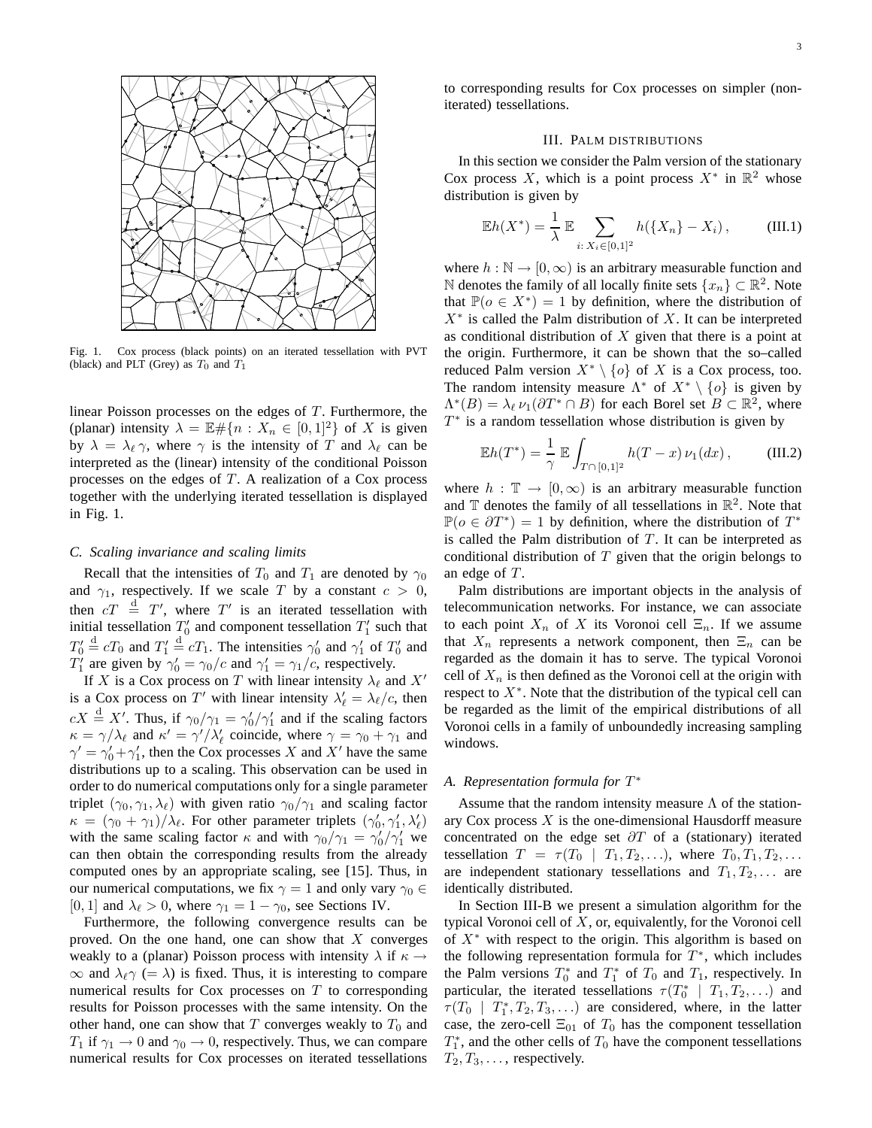

Fig. 1. Cox process (black points) on an iterated tessellation with PVT (black) and PLT (Grey) as  $T_0$  and  $T_1$ 

linear Poisson processes on the edges of  $T$ . Furthermore, the (planar) intensity  $\lambda = \mathbb{E} \# \{n : X_n \in [0,1]^2\}$  of X is given by  $\lambda = \lambda_{\ell} \gamma$ , where  $\gamma$  is the intensity of T and  $\lambda_{\ell}$  can be interpreted as the (linear) intensity of the conditional Poisson processes on the edges of  $T$ . A realization of a Cox process together with the underlying iterated tessellation is displayed in Fig. 1.

#### *C. Scaling invariance and scaling limits*

Recall that the intensities of  $T_0$  and  $T_1$  are denoted by  $\gamma_0$ and  $\gamma_1$ , respectively. If we scale T by a constant  $c > 0$ , then  $cT \stackrel{d}{=} T'$ , where T' is an iterated tessellation with initial tessellation  $T'_0$  and component tessellation  $T'_1$  such that  $T'_0 \stackrel{\text{d}}{=} cT_0$  and  $T'_1 \stackrel{\text{d}}{=} cT_1$ . The intensities  $\gamma'_0$  and  $\gamma'_1$  of  $T'_0$  and  $T'_1$  are given by  $\gamma'_0 = \gamma_0/c$  and  $\gamma'_1 = \gamma_1/c$ , respectively.

If X is a Cox process on T with linear intensity  $\lambda_{\ell}$  and  $X'$ is a Cox process on T' with linear intensity  $\lambda'_{\ell} = \lambda_{\ell}/c$ , then  $cX \stackrel{\text{d}}{=} X'$ . Thus, if  $\gamma_0/\gamma_1 = \gamma'_0/\gamma'_1$  and if the scaling factors  $\kappa = \gamma/\lambda_{\ell}$  and  $\kappa' = \gamma'/\lambda'_{\ell}$  coincide, where  $\gamma = \gamma_0 + \gamma_1$  and  $\gamma' = \gamma'_0 + \gamma'_1$ , then the Cox processes X and X' have the same distributions up to a scaling. This observation can be used in order to do numerical computations only for a single parameter triplet  $(\gamma_0, \gamma_1, \lambda_\ell)$  with given ratio  $\gamma_0/\gamma_1$  and scaling factor  $\kappa = (\gamma_0 + \gamma_1)/\lambda_{\ell}$ . For other parameter triplets  $(\gamma'_0, \gamma'_1, \lambda'_{\ell})$ with the same scaling factor  $\kappa$  and with  $\gamma_0/\gamma_1 = \gamma'_0/\gamma'_1$  we can then obtain the corresponding results from the already computed ones by an appropriate scaling, see [15]. Thus, in our numerical computations, we fix  $\gamma = 1$  and only vary  $\gamma_0 \in$ [0, 1] and  $\lambda_{\ell} > 0$ , where  $\gamma_1 = 1 - \gamma_0$ , see Sections IV.

Furthermore, the following convergence results can be proved. On the one hand, one can show that  $X$  converges weakly to a (planar) Poisson process with intensity  $\lambda$  if  $\kappa \rightarrow$  $\infty$  and  $\lambda_{\ell} \gamma (= \lambda)$  is fixed. Thus, it is interesting to compare numerical results for Cox processes on  $T$  to corresponding results for Poisson processes with the same intensity. On the other hand, one can show that  $T$  converges weakly to  $T_0$  and  $T_1$  if  $\gamma_1 \rightarrow 0$  and  $\gamma_0 \rightarrow 0$ , respectively. Thus, we can compare numerical results for Cox processes on iterated tessellations to corresponding results for Cox processes on simpler (noniterated) tessellations.

# III. PALM DISTRIBUTIONS

In this section we consider the Palm version of the stationary Cox process X, which is a point process  $X^*$  in  $\mathbb{R}^2$  whose distribution is given by

$$
\mathbb{E}h(X^*) = \frac{1}{\lambda} \mathbb{E} \sum_{i: \, X_i \in [0,1]^2} h(\{X_n\} - X_i), \tag{III.1}
$$

where  $h : \mathbb{N} \to [0, \infty)$  is an arbitrary measurable function and N denotes the family of all locally finite sets  $\{x_n\} \subset \mathbb{R}^2$ . Note that  $\mathbb{P}(o \in X^*) = 1$  by definition, where the distribution of  $X^*$  is called the Palm distribution of X. It can be interpreted as conditional distribution of  $X$  given that there is a point at the origin. Furthermore, it can be shown that the so–called reduced Palm version  $X^* \setminus \{o\}$  of X is a Cox process, too. The random intensity measure  $\Lambda^*$  of  $X^* \setminus \{o\}$  is given by  $\Lambda^*(B) = \lambda_\ell \nu_1(\partial T^* \cap B)$  for each Borel set  $B \subset \mathbb{R}^2$ , where T ∗ is a random tessellation whose distribution is given by

$$
\mathbb{E}h(T^*) = \frac{1}{\gamma} \mathbb{E} \int_{T \cap [0,1]^2} h(T-x) \nu_1(dx) , \quad (\text{III.2})
$$

where  $h : \mathbb{T} \to [0, \infty)$  is an arbitrary measurable function and  $\mathbb T$  denotes the family of all tessellations in  $\mathbb R^2$ . Note that  $\mathbb{P}(o \in \partial T^*) = 1$  by definition, where the distribution of  $T^*$ is called the Palm distribution of  $T$ . It can be interpreted as conditional distribution of  $T$  given that the origin belongs to an edge of  $T$ .

Palm distributions are important objects in the analysis of telecommunication networks. For instance, we can associate to each point  $X_n$  of X its Voronoi cell  $\Xi_n$ . If we assume that  $X_n$  represents a network component, then  $\Xi_n$  can be regarded as the domain it has to serve. The typical Voronoi cell of  $X_n$  is then defined as the Voronoi cell at the origin with respect to  $X^*$ . Note that the distribution of the typical cell can be regarded as the limit of the empirical distributions of all Voronoi cells in a family of unboundedly increasing sampling windows.

# *A. Representation formula for* T ∗

Assume that the random intensity measure  $\Lambda$  of the stationary Cox process  $X$  is the one-dimensional Hausdorff measure concentrated on the edge set  $\partial T$  of a (stationary) iterated tessellation  $T = \tau(T_0 \mid T_1, T_2, \ldots)$ , where  $T_0, T_1, T_2, \ldots$ are independent stationary tessellations and  $T_1, T_2, \ldots$  are identically distributed.

In Section III-B we present a simulation algorithm for the typical Voronoi cell of  $X$ , or, equivalently, for the Voronoi cell of  $X^*$  with respect to the origin. This algorithm is based on the following representation formula for  $T^*$ , which includes the Palm versions  $T_0^*$  and  $T_1^*$  of  $T_0$  and  $T_1$ , respectively. In particular, the iterated tessellations  $\tau(T_0^* | T_1, T_2, ...)$  and  $\tau(T_0 \mid T_1^*, T_2, T_3, \ldots)$  are considered, where, in the latter case, the zero-cell  $\Xi_{01}$  of  $T_0$  has the component tessellation  $T_1^*$ , and the other cells of  $T_0$  have the component tessellations  $T_2, T_3, \ldots$ , respectively.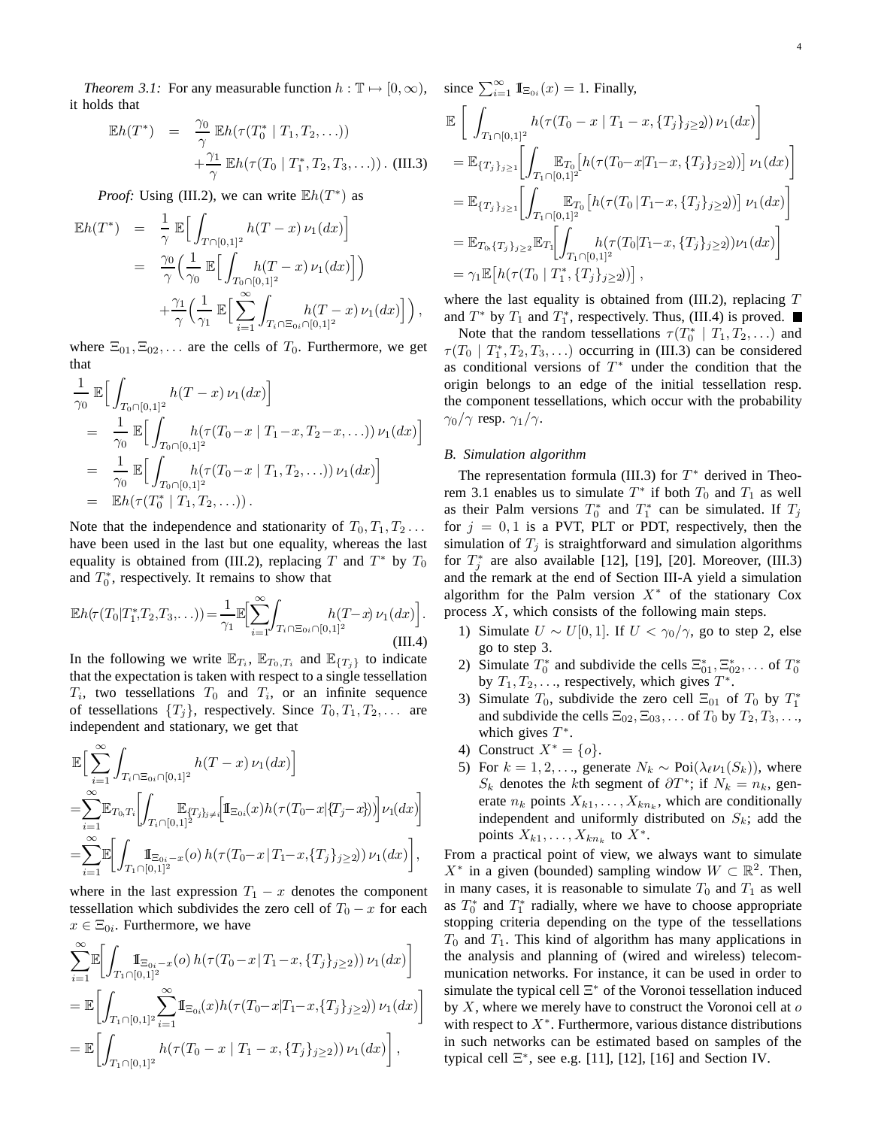*Theorem 3.1:* For any measurable function  $h : \mathbb{T} \mapsto [0, \infty)$ , since  $\sum_{i=1}^{\infty} \mathbb{I}_{\Xi_{0i}}(x) = 1$ . Finally, it holds that

$$
\mathbb{E}h(T^*) = \frac{\gamma_0}{\gamma} \mathbb{E}h(\tau(T_0^* | T_1, T_2, \ldots)) \n+ \frac{\gamma_1}{\gamma} \mathbb{E}h(\tau(T_0 | T_1^*, T_2, T_3, \ldots)).
$$
 (III.3)

*Proof:* Using (III.2), we can write  $\mathbb{E}h(T^*)$  as

$$
\mathbb{E}h(T^*) = \frac{1}{\gamma} \mathbb{E} \Big[ \int_{T \cap [0,1]^2} h(T-x) \nu_1(dx) \Big]
$$
  
\n
$$
= \frac{\gamma_0}{\gamma} \Big( \frac{1}{\gamma_0} \mathbb{E} \Big[ \int_{T_0 \cap [0,1]^2} h(T-x) \nu_1(dx) \Big] \Big)
$$
  
\n
$$
+ \frac{\gamma_1}{\gamma} \Big( \frac{1}{\gamma_1} \mathbb{E} \Big[ \sum_{i=1}^{\infty} \int_{T_i \cap \Xi_{0i} \cap [0,1]^2} h(T-x) \nu_1(dx) \Big] \Big),
$$

where  $\Xi_{01}, \Xi_{02}, \ldots$  are the cells of  $T_0$ . Furthermore, we get that

$$
\frac{1}{\gamma_0} \mathbb{E} \Big[ \int_{T_0 \cap [0,1]^2} h(T-x) \nu_1(dx) \Big]
$$
\n
$$
= \frac{1}{\gamma_0} \mathbb{E} \Big[ \int_{T_0 \cap [0,1]^2} h(\tau(T_0 - x \mid T_1 - x, T_2 - x, \ldots)) \nu_1(dx) \Big]
$$
\n
$$
= \frac{1}{\gamma_0} \mathbb{E} \Big[ \int_{T_0 \cap [0,1]^2} h(\tau(T_0 - x \mid T_1, T_2, \ldots)) \nu_1(dx) \Big]
$$
\n
$$
= \mathbb{E} h(\tau(T_0^* \mid T_1, T_2, \ldots)).
$$

Note that the independence and stationarity of  $T_0, T_1, T_2 \ldots$ have been used in the last but one equality, whereas the last equality is obtained from (III.2), replacing T and  $T^*$  by  $T_0$ and  $T_0^*$ , respectively. It remains to show that

$$
\mathbb{E}h(\tau(T_0|T_1^*T_2,T_3,\ldots)) = \frac{1}{\gamma_1} \mathbb{E} \Big[ \sum_{i=1}^{\infty} \int_{T_i \cap \Xi_{0i} \cap [0,1]^2} h(T-x) \, \nu_1(dx) \Big].
$$
\n(III.4)

In the following we write  $\mathbb{E}_{T_i}$ ,  $\mathbb{E}_{T_0,T_i}$  and  $\mathbb{E}_{\{T_j\}}$  to indicate that the expectation is taken with respect to a single tessellation  $T_i$ , two tessellations  $T_0$  and  $T_i$ , or an infinite sequence of tessellations  $\{T_i\}$ , respectively. Since  $T_0, T_1, T_2, \ldots$  are independent and stationary, we get that

$$
\label{eq:4.10} \begin{split} &\mathbb{E}\Big[\sum_{i=1}^{\infty}\int_{T_{i}\cap \Xi_{0i}\cap [0,1]^{2}}h(T-x)\,\nu_{1}(dx)\Big]\\ =&\sum_{i=1}^{\infty}\mathbb{E}_{T_{0},T_{i}}\biggl[\int_{T_{i}\cap [0,1]^{2}}\!\!\!\!\!\mathbb{E}_{[T_{j}]_{j\neq i}}\!\!\left[\mathrm{I\!I}_{\Xi_{0i}}\!(x)h(\tau(T_{0}\!-\!x|\{T_{j}\!\!-\!x\!)\})\right]\!\nu_{1}(dx)\biggr]\\ =&\sum_{i=1}^{\infty}\!\mathbb{E}\!\biggl[\int_{T_{1}\cap [0,1]^{2}}\!\!\!\!\!\!\!\!\mathrm{I}_{\Xi_{0i}-x}(o)\,h(\tau(T_{0}\!-\!x|\,T_{1}\!\!-\!x,\{T_{j}\}_{j\geq 2}))\,\nu_{1}(dx)\biggr], \end{split}
$$

where in the last expression  $T_1 - x$  denotes the component tessellation which subdivides the zero cell of  $T_0 - x$  for each  $x \in \Xi_{0i}$ . Furthermore, we have

$$
\sum_{i=1}^{\infty} \mathbb{E} \bigg[ \int_{T_1 \cap [0,1]^2} \mathbb{I}_{\Xi_{0i} - x}(o) \, h(\tau(T_0 - x \mid T_1 - x, \{T_j\}_{j \ge 2})) \, \nu_1(dx) \bigg]
$$
\n
$$
= \mathbb{E} \bigg[ \int_{T_1 \cap [0,1]^2} \sum_{i=1}^{\infty} \mathbb{I}_{\Xi_{0i}}(x) h(\tau(T_0 - x \mid T_1 - x, \{T_j\}_{j \ge 2})) \, \nu_1(dx) \bigg]
$$
\n
$$
= \mathbb{E} \bigg[ \int_{T_1 \cap [0,1]^2} h(\tau(T_0 - x \mid T_1 - x, \{T_j\}_{j \ge 2})) \, \nu_1(dx) \bigg],
$$

$$
\mathbb{E}\left[\int_{T_1\cap[0,1]^2} h(\tau(T_0-x\mid T_1-x,\{T_j\}_{j\geq 2}))\,\nu_1(dx)\right]
$$
\n
$$
=\mathbb{E}_{\{T_j\}_{j\geq 1}}\left[\int_{T_1\cap[0,1]^2} \mathbb{E}_{T_0}\left[h(\tau(T_0-x\mid T_1-x,\{T_j\}_{j\geq 2}))\right]\,\nu_1(dx)\right]
$$
\n
$$
=\mathbb{E}_{\{T_j\}_{j\geq 1}}\left[\int_{T_1\cap[0,1]^2} \mathbb{E}_{T_0}\left[h(\tau(T_0\mid T_1-x,\{T_j\}_{j\geq 2}))\right]\,\nu_1(dx)\right]
$$
\n
$$
=\mathbb{E}_{T_0,\{T_j\}_{j\geq 2}}\mathbb{E}_{T_1}\left[\int_{T_1\cap[0,1]^2} h(\tau(T_0\mid T_1-x,\{T_j\}_{j\geq 2}))\nu_1(dx)\right]
$$
\n
$$
=\gamma_1\mathbb{E}\left[h(\tau(T_0\mid T_1^*,\{T_j\}_{j\geq 2}))\right],
$$

where the last equality is obtained from  $(III.2)$ , replacing  $T$ and  $T^*$  by  $T_1$  and  $T_1^*$ , respectively. Thus, (III.4) is proved.

Note that the random tessellations  $\tau(T_0^* | T_1, T_2, ...)$  and  $\tau(T_0 | T_1^*, T_2, T_3, \ldots)$  occurring in (III.3) can be considered as conditional versions of  $T^*$  under the condition that the origin belongs to an edge of the initial tessellation resp. the component tessellations, which occur with the probability  $\gamma_0/\gamma$  resp.  $\gamma_1/\gamma$ .

## *B. Simulation algorithm*

The representation formula (III.3) for  $T^*$  derived in Theorem 3.1 enables us to simulate  $T^*$  if both  $T_0$  and  $T_1$  as well as their Palm versions  $T_0^*$  and  $T_1^*$  can be simulated. If  $T_j$ for  $j = 0, 1$  is a PVT, PLT or PDT, respectively, then the simulation of  $T_i$  is straightforward and simulation algorithms for  $T_j^*$  are also available [12], [19], [20]. Moreover, (III.3) and the remark at the end of Section III-A yield a simulation algorithm for the Palm version  $X^*$  of the stationary Cox process X, which consists of the following main steps.

- 1) Simulate  $U \sim U[0, 1]$ . If  $U < \gamma_0/\gamma$ , go to step 2, else go to step 3.
- 2) Simulate  $T_0^*$  and subdivide the cells  $\Xi_{01}^*, \Xi_{02}^*, \dots$  of  $T_0^*$ by  $T_1, T_2, \ldots$ , respectively, which gives  $T^*$ .
- 3) Simulate  $T_0$ , subdivide the zero cell  $\Xi_{01}$  of  $T_0$  by  $T_1^*$ and subdivide the cells  $\Xi_{02}, \Xi_{03}, \ldots$  of  $T_0$  by  $T_2, T_3, \ldots$ , which gives  $T^*$ .
- 4) Construct  $X^* = \{o\}.$
- 5) For  $k = 1, 2, \ldots$ , generate  $N_k \sim \text{Poi}(\lambda_\ell \nu_1(S_k))$ , where  $S_k$  denotes the kth segment of  $\partial T^*$ ; if  $N_k = n_k$ , generate  $n_k$  points  $X_{k1}, \ldots, X_{kn_k}$ , which are conditionally independent and uniformly distributed on  $S_k$ ; add the points  $X_{k1}, \ldots, X_{kn_k}$  to  $X^*$ .

From a practical point of view, we always want to simulate  $X^*$  in a given (bounded) sampling window  $W \subset \mathbb{R}^2$ . Then, in many cases, it is reasonable to simulate  $T_0$  and  $T_1$  as well as  $T_0^*$  and  $T_1^*$  radially, where we have to choose appropriate stopping criteria depending on the type of the tessellations  $T_0$  and  $T_1$ . This kind of algorithm has many applications in the analysis and planning of (wired and wireless) telecommunication networks. For instance, it can be used in order to simulate the typical cell Ξ <sup>∗</sup> of the Voronoi tessellation induced by  $X$ , where we merely have to construct the Voronoi cell at  $o$ with respect to  $X^*$ . Furthermore, various distance distributions in such networks can be estimated based on samples of the typical cell  $\Xi^*$ , see e.g. [11], [12], [16] and Section IV.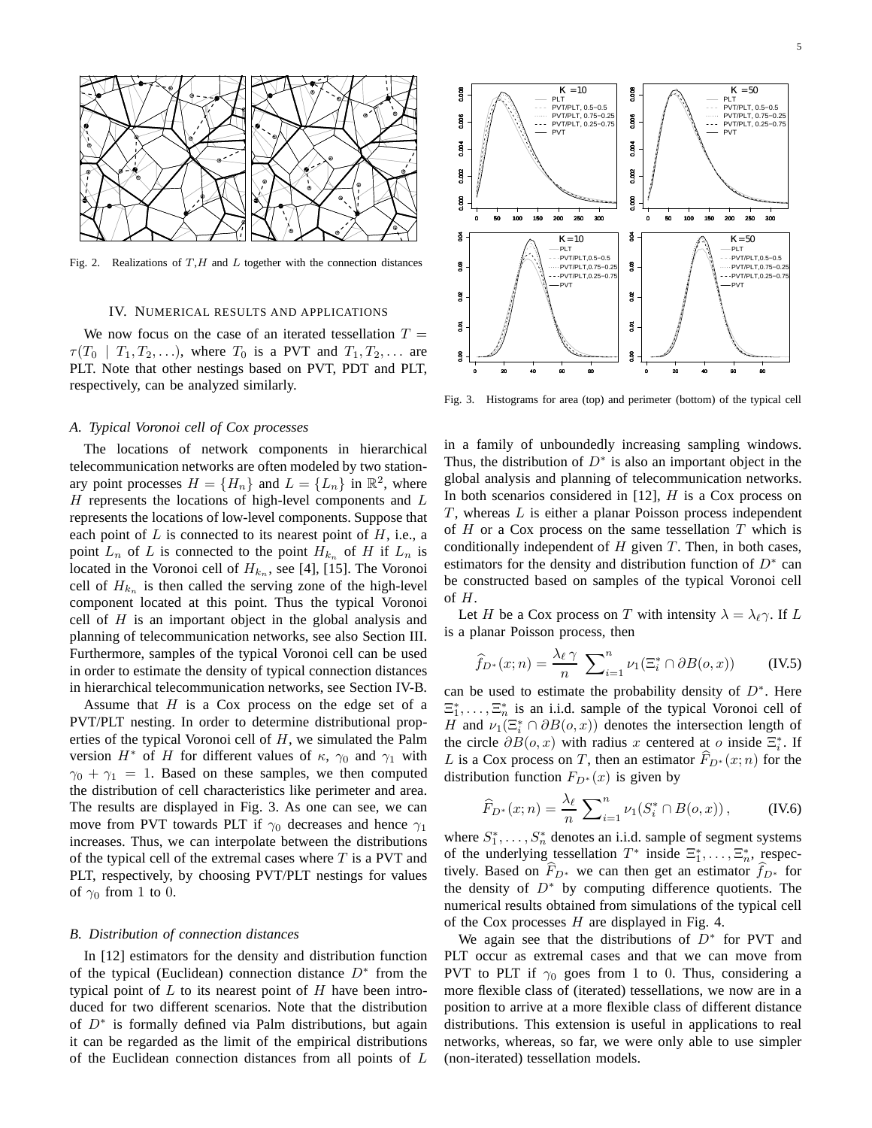

Fig. 2. Realizations of  $T,H$  and  $L$  together with the connection distances

## IV. NUMERICAL RESULTS AND APPLICATIONS

We now focus on the case of an iterated tessellation  $T =$  $\tau(T_0 \mid T_1, T_2, \ldots)$ , where  $T_0$  is a PVT and  $T_1, T_2, \ldots$  are PLT. Note that other nestings based on PVT, PDT and PLT, respectively, can be analyzed similarly.

### *A. Typical Voronoi cell of Cox processes*

The locations of network components in hierarchical telecommunication networks are often modeled by two stationary point processes  $H = \{H_n\}$  and  $L = \{L_n\}$  in  $\mathbb{R}^2$ , where  $H$  represents the locations of high-level components and  $L$ represents the locations of low-level components. Suppose that each point of  $L$  is connected to its nearest point of  $H$ , i.e., a point  $L_n$  of L is connected to the point  $H_{k_n}$  of H if  $L_n$  is located in the Voronoi cell of  $H_{k_n}$ , see [4], [15]. The Voronoi cell of  $H_{k_n}$  is then called the serving zone of the high-level component located at this point. Thus the typical Voronoi cell of  $H$  is an important object in the global analysis and planning of telecommunication networks, see also Section III. Furthermore, samples of the typical Voronoi cell can be used in order to estimate the density of typical connection distances in hierarchical telecommunication networks, see Section IV-B.

Assume that  $H$  is a Cox process on the edge set of a PVT/PLT nesting. In order to determine distributional properties of the typical Voronoi cell of  $H$ , we simulated the Palm version  $H^*$  of H for different values of  $\kappa$ ,  $\gamma_0$  and  $\gamma_1$  with  $\gamma_0 + \gamma_1 = 1$ . Based on these samples, we then computed the distribution of cell characteristics like perimeter and area. The results are displayed in Fig. 3. As one can see, we can move from PVT towards PLT if  $\gamma_0$  decreases and hence  $\gamma_1$ increases. Thus, we can interpolate between the distributions of the typical cell of the extremal cases where  $T$  is a PVT and PLT, respectively, by choosing PVT/PLT nestings for values of  $\gamma_0$  from 1 to 0.

#### *B. Distribution of connection distances*

In [12] estimators for the density and distribution function of the typical (Euclidean) connection distance  $D^*$  from the typical point of  $L$  to its nearest point of  $H$  have been introduced for two different scenarios. Note that the distribution of D<sup>∗</sup> is formally defined via Palm distributions, but again it can be regarded as the limit of the empirical distributions of the Euclidean connection distances from all points of L



Fig. 3. Histograms for area (top) and perimeter (bottom) of the typical cell

in a family of unboundedly increasing sampling windows. Thus, the distribution of  $D^*$  is also an important object in the global analysis and planning of telecommunication networks. In both scenarios considered in  $[12]$ ,  $H$  is a Cox process on  $T$ , whereas  $L$  is either a planar Poisson process independent of  $H$  or a Cox process on the same tessellation  $T$  which is conditionally independent of  $H$  given  $T$ . Then, in both cases, estimators for the density and distribution function of  $D^*$  can be constructed based on samples of the typical Voronoi cell of H.

Let H be a Cox process on T with intensity  $\lambda = \lambda_{\ell} \gamma$ . If L is a planar Poisson process, then

$$
\widehat{f}_{D^*}(x;n) = \frac{\lambda_\ell \,\gamma}{n} \,\sum_{i=1}^n \nu_1(\Xi_i^* \cap \partial B(o,x)) \qquad \text{(IV.5)}
$$

can be used to estimate the probability density of  $D^*$ . Here  $\Xi_1^*, \ldots, \Xi_n^*$  is an i.i.d. sample of the typical Voronoi cell of H and  $\nu_1(\Xi_i^* \cap \partial B(o, x))$  denotes the intersection length of the circle  $\partial B(o, x)$  with radius x centered at o inside  $\Xi_i^*$ . If L is a Cox process on T, then an estimator  $\widehat{F}_{D^*}(x; n)$  for the distribution function  $F_{D^*}(x)$  is given by

$$
\widehat{F}_{D^*}(x;n) = \frac{\lambda_\ell}{n} \sum_{i=1}^n \nu_1(S_i^* \cap B(o,x)), \quad (IV.6)
$$

where  $S_1^*, \ldots, S_n^*$  denotes an i.i.d. sample of segment systems of the underlying tessellation  $T^*$  inside  $\Xi_1^*, \ldots, \Xi_n^*$ , respectively. Based on  $F_{D^*}$  we can then get an estimator  $f_{D^*}$  for the density of  $D^*$  by computing difference quotients. The numerical results obtained from simulations of the typical cell of the Cox processes  $H$  are displayed in Fig. 4.

We again see that the distributions of  $D^*$  for PVT and PLT occur as extremal cases and that we can move from PVT to PLT if  $\gamma_0$  goes from 1 to 0. Thus, considering a more flexible class of (iterated) tessellations, we now are in a position to arrive at a more flexible class of different distance distributions. This extension is useful in applications to real networks, whereas, so far, we were only able to use simpler (non-iterated) tessellation models.